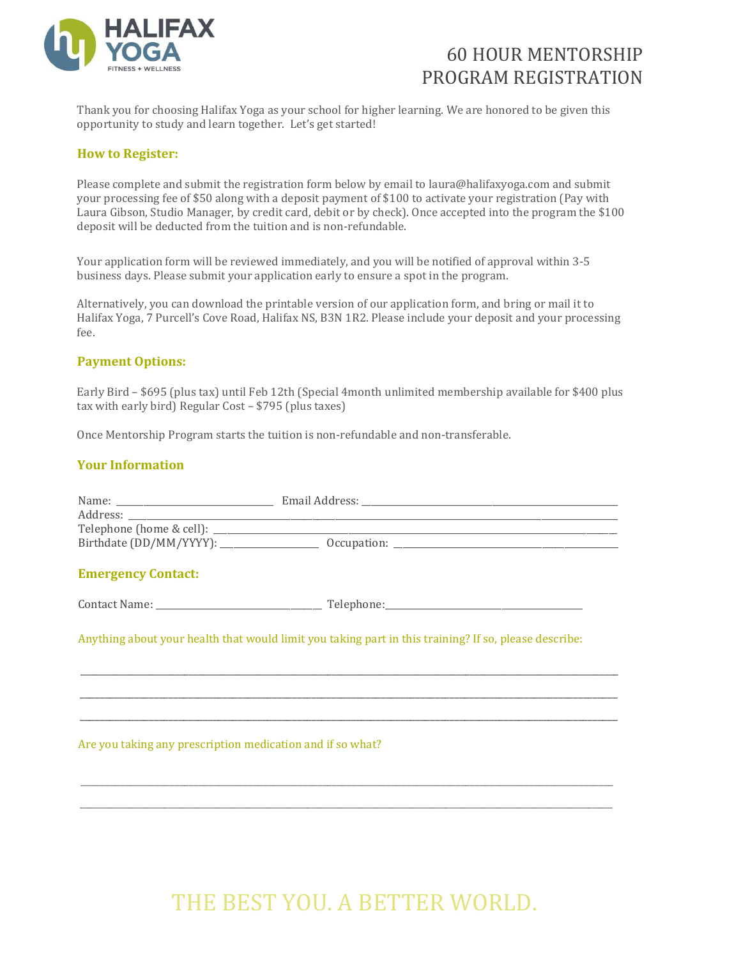

### 60 HOUR MENTORSHIP PROGRAM REGISTRATION

Thank you for choosing Halifax Yoga as your school for higher learning. We are honored to be given this opportunity to study and learn together. Let's get started!

### **How to Register:**

Please complete and submit the registration form below by email to laura@halifaxyoga.com and submit your processing fee of \$50 along with a deposit payment of \$100 to activate your registration (Pay with Laura Gibson, Studio Manager, by credit card, debit or by check). Once accepted into the program the \$100 deposit will be deducted from the tuition and is non-refundable.

Your application form will be reviewed immediately, and you will be notified of approval within 3-5 business days. Please submit your application early to ensure a spot in the program.

Alternatively, you can download the printable version of our application form, and bring or mail it to Halifax Yoga, 7 Purcell's Cove Road, Halifax NS, B3N 1R2. Please include your deposit and your processing fee.

#### **Payment Options:**

Early Bird – \$695 (plus tax) until Feb 12th (Special 4month unlimited membership available for \$400 plus tax with early bird) Regular Cost – \$795 (plus taxes)

Once Mentorship Program starts the tuition is non-refundable and non-transferable.

### **Your Information**

| <b>Emergency Contact:</b>                                  |                                                                                                       |
|------------------------------------------------------------|-------------------------------------------------------------------------------------------------------|
|                                                            |                                                                                                       |
|                                                            | Anything about your health that would limit you taking part in this training? If so, please describe: |
|                                                            |                                                                                                       |
|                                                            |                                                                                                       |
| Are you taking any prescription medication and if so what? |                                                                                                       |
|                                                            |                                                                                                       |
|                                                            |                                                                                                       |
|                                                            |                                                                                                       |

# THE BEST YOU. A BETTER WORLD.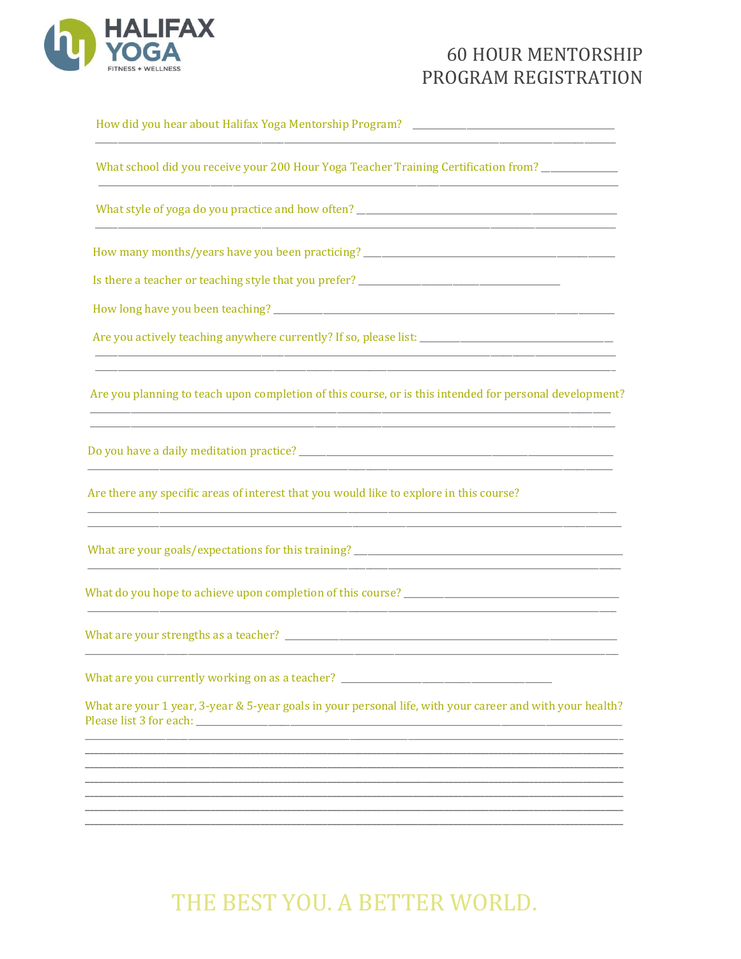

### **60 HOUR MENTORSHIP** PROGRAM REGISTRATION

| What school did you receive your 200 Hour Yoga Teacher Training Certification from? ______________                                                                                                               |
|------------------------------------------------------------------------------------------------------------------------------------------------------------------------------------------------------------------|
|                                                                                                                                                                                                                  |
|                                                                                                                                                                                                                  |
|                                                                                                                                                                                                                  |
|                                                                                                                                                                                                                  |
|                                                                                                                                                                                                                  |
| Are you planning to teach upon completion of this course, or is this intended for personal development?                                                                                                          |
|                                                                                                                                                                                                                  |
| Are there any specific areas of interest that you would like to explore in this course?<br><u> 1980 - John Stoff, Amerikaans van die Stoff van die Stoff van die Stoff van die Stoff van die Stoff van die S</u> |
|                                                                                                                                                                                                                  |
|                                                                                                                                                                                                                  |
|                                                                                                                                                                                                                  |
| What are you currently working on as a teacher? ________________________________                                                                                                                                 |
| What are your 1 year, 3-year & 5-year goals in your personal life, with your career and with your health?                                                                                                        |
|                                                                                                                                                                                                                  |
|                                                                                                                                                                                                                  |
|                                                                                                                                                                                                                  |
|                                                                                                                                                                                                                  |

# THE BEST YOU. A BETTER WORLD.